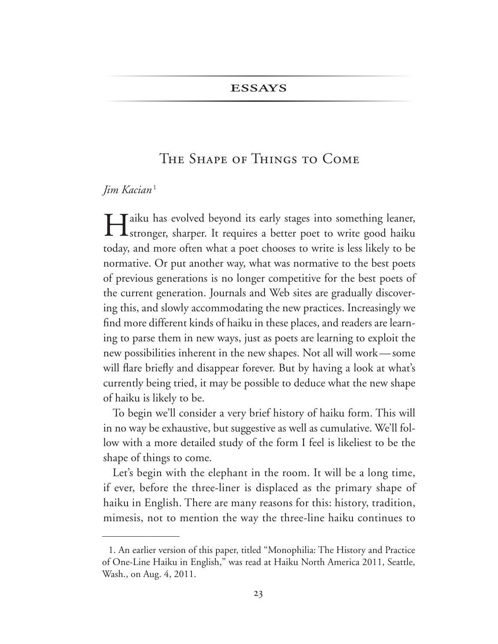### **ESSAYS**

# The Shape of Things to Come

### *Jim Kacian*

In Taiku has evolved beyond its early stages into something leaner, sharper. It requires a better poet to write good haiku today, and more often what a poet chooses to write is less likely to be normative. Or put another way, what was normative to the best poets of previous generations is no longer competitive for the best poets of the current generation. Journals and Web sites are gradually discover ing this, and slowly accommodating the new practices. Increasingly we find more different kinds of haiku in these places, and readers are learn ing to parse them in new ways, just as poets are learning to exploit the new possibilities inherent in the new shapes. Not all will work—some will flare briefly and disappear forever. But by having a look at what's currently being tried, it may be possible to deduce what the new shape of haiku is likely to be.

To begin we'll consider a very brief history of haiku form. This will in no way be exhaustive, but suggestive as well as cumulative. We'll fol low with a more detailed study of the form I feel is likeliest to be the shape of things to come.

Let's begin with the elephant in the room. It will be a long time, if ever, before the three-liner is displaced as the primary shape of haiku in English. There are many reasons for this: history, tradition, mimesis, not to mention the way the three-line haiku continues to

<sup>1.</sup> An earlier version of this paper, titled "Monophilia: The History and Practice of One-Line Haiku in English," was read at Haiku North America 2011, Seattle, Wash., on Aug. 4, 2011.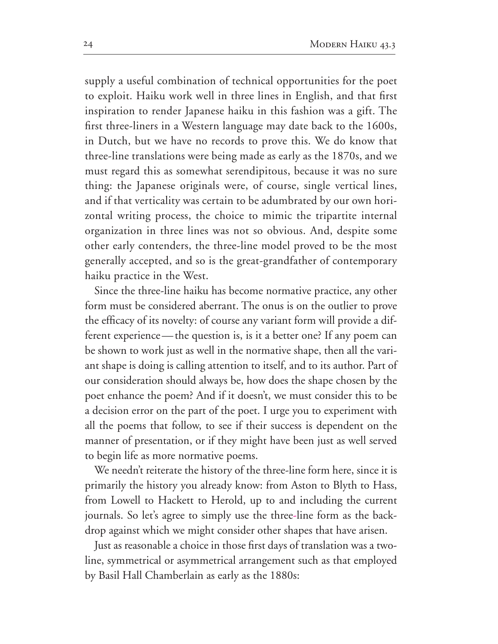supply a useful combination of technical opportunities for the poet to exploit. Haiku work well in three lines in English, and that first inspiration to render Japanese haiku in this fashion was a gift. The first three-liners in a Western language may date back to the 1600s, in Dutch, but we have no records to prove this. We do know that three-line translations were being made as early as the 1870s, and we must regard this as somewhat serendipitous, because it was no sure thing: the Japanese originals were, of course, single vertical lines, and if that verticality was certain to be adumbrated by our own hori zontal writing process, the choice to mimic the tripartite internal organization in three lines was not so obvious. And, despite some other early contenders, the three-line model proved to be the most generally accepted, and so is the great-grandfather of contemporary haiku practice in the West.

Since the three-line haiku has become normative practice, any other form must be considered aberrant. The onus is on the outlier to prove the efficacy of its novelty: of course any variant form will provide a dif ferent experience—the question is, is it a better one? If any poem can be shown to work just as well in the normative shape, then all the vari ant shape is doing is calling attention to itself, and to its author. Part of our consideration should always be, how does the shape chosen by the poet enhance the poem? And if it doesn't, we must consider this to be a decision error on the part of the poet. I urge you to experiment with all the poems that follow, to see if their success is dependent on the manner of presentation, or if they might have been just as well served to begin life as more normative poems.

We needn't reiterate the history of the three-line form here, since it is primarily the history you already know: from Aston to Blyth to Hass, from Lowell to Hackett to Herold, up to and including the current journals. So let's agree to simply use the three-line form as the backdrop against which we might consider other shapes that have arisen.

Just as reasonable a choice in those first days of translation was a twoline, symmetrical or asymmetrical arrangement such as that employed by Basil Hall Chamberlain as early as the 1880s: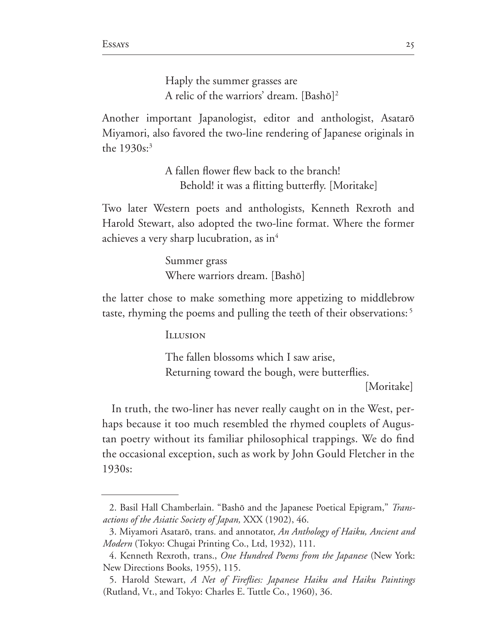Haply the summer grasses are A relic of the warriors' dream. [Bashô] 2

Another important Japanologist, editor and anthologist, Asatarô Miyamori, also favored the two-line rendering of Japanese originals in the  $1930s$ :<sup>3</sup>

> A fallen flower flew back to the branch! Behold! it was a flitting butterfly. [Moritake]

Two later Western poets and anthologists, Kenneth Rexroth and Harold Stewart, also adopted the two-line format. Where the former achieves a very sharp lucubration, as in

> Summer grass Where warriors dream. [Bashô]

the latter chose to make something more appetizing to middlebrow taste, rhyming the poems and pulling the teeth of their observations:

Illusion

The fallen blossoms which I saw arise, Returning toward the bough, were butterflies. [Moritake]

In truth, the two-liner has never really caught on in the West, perhaps because it too much resembled the rhymed couplets of Augus tan poetry without its familiar philosophical trappings. We do find the occasional exception, such as work by John Gould Fletcher in the 1930s:

<sup>2.</sup> Basil Hall Chamberlain. "Bashô and the Japanese Poetical Epigram," *Transactions of the Asiatic Society of Japan, XXX (1902), 46.* 

<sup>3.</sup> Miyamori Asatarō, trans. and annotator, *An Anthology of Haiku, Ancient and Modern* (Tokyo: Chugai Printing Co., Ltd, 1932), 111.

<sup>4.</sup> Kenneth Rexroth, trans., One Hundred Poems from the Japanese (New York: New Directions Books, 1955), 115.

<sup>5.</sup> Harold Stewart, *A Net of Fireflies: Japanese Haiku and Haiku Paintings* (Rutland, Vt., and Tokyo: Charles E. Tuttle Co., 1960), 36.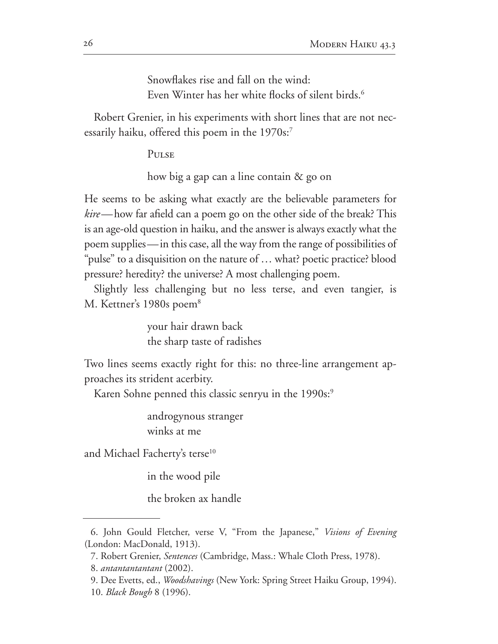Snowflakes rise and fall on the wind: Even Winter has her white flocks of silent birds.

Robert Grenier, in his experiments with short lines that are not nec essarily haiku, offered this poem in the 1970s:<sup>7</sup>

PULSE

how big a gap can a line contain  $\&$  go on

He seems to be asking what exactly are the believable parameters for *kire*—how far afield can a poem go on the other side of the break? This is an age-old question in haiku, and the answer is always exactly what the poem supplies—in this case, all the way from the range of possibilities of "pulse" to a disquisition on the nature of … what? poetic practice? blood pressure? heredity? the universe? A most challenging poem.

Slightly less challenging but no less terse, and even tangier, is M. Kettner's 1980s poem $8$ 

> your hair drawn back the sharp taste of radishes

Two lines seems exactly right for this: no three-line arrangement approaches its strident acerbity.

Karen Sohne penned this classic senryu in the 1990s:<sup>9</sup>

androgynous stranger winks at me

and Michael Facherty's terse<sup>10</sup>

in the wood pile

the broken ax handle

<sup>6.</sup> John Gould Fletcher, verse V, "From the Japanese," *Visions of Evening* (London: MacDonald, 1913).

<sup>7.</sup> Robert Grenier, *Sentences* (Cambridge, Mass.: Whale Cloth Press, 1978).

*antantantantant* 

<sup>9.</sup> Dee Evetts, ed., *Woodshavings* (New York: Spring Street Haiku Group, 1994). 10. *Black Bough* 8 (1996).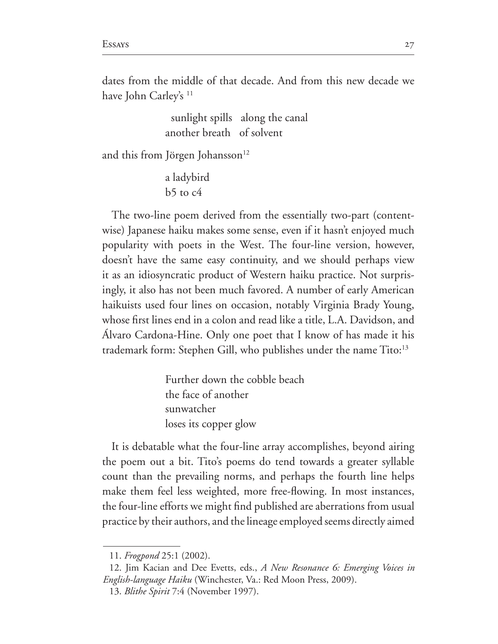dates from the middle of that decade. And from this new decade we have John Carley's <sup>11</sup>

> sunlight spills along the canal another breath of solvent

and this from Jörgen Johansson

a ladybird  $b5$  to  $c4$ 

The two-line poem derived from the essentially two-part (contentwise) Japanese haiku makes some sense, even if it hasn't enjoyed much popularity with poets in the West. The four-line version, however, doesn't have the same easy continuity, and we should perhaps view it as an idiosyncratic product of Western haiku practice. Not surprisingly, it also has not been much favored. A number of early American haikuists used four lines on occasion, notably Virginia Brady Young, whose first lines end in a colon and read like a title, L.A. Davidson, and Álvaro Cardona-Hine. Only one poet that I know of has made it his trademark form: Stephen Gill, who publishes under the name Tito:<sup>13</sup>

> Further down the cobble beach the face of another sunwatcher loses its copper glow

It is debatable what the four-line array accomplishes, beyond airing the poem out a bit. Tito's poems do tend towards a greater syllable count than the prevailing norms, and perhaps the fourth line helps make them feel less weighted, more free-flowing. In most instances, the four-line efforts we might find published are aberrations from usual practice by their authors, and the lineage employed seems directly aimed

<sup>11.</sup> *Frogpond* 25:1 (2002).

<sup>12.</sup> Jim Kacian and Dee Evetts, eds., *A New Resonance 6: Emerging Voices in English-language Haiku* (Winchester, Va.: Red Moon Press, 2009).

<sup>13.</sup> *Blithe Spirit* 7:4 (November 1997).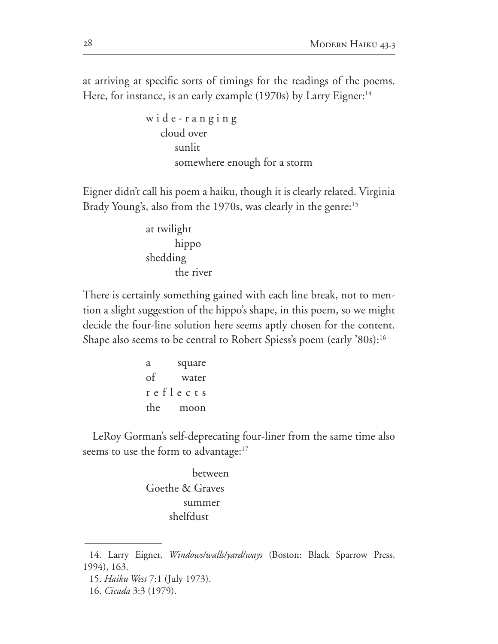at arriving at specific sorts of timings for the readings of the poems. Here, for instance, is an early example  $(1970s)$  by Larry Eigner:<sup>14</sup>

```
wide-ranging
    cloud over
       sunlit
       somewhere enough for a storm
```
Eigner didn't call his poem a haiku, though it is clearly related. Virginia Brady Young's, also from the 1970s, was clearly in the genre:<sup>15</sup>

> at twilight hippo shedding the river

There is certainly something gained with each line break, not to men tion a slight suggestion of the hippo's shape, in this poem, so we might decide the four-line solution here seems aptly chosen for the content. Shape also seems to be central to Robert Spiess's poem (early '80s):<sup>16</sup>

```
a square
of water
r e f l e c t s
the moon
```
LeRoy Gorman's self-deprecating four-liner from the same time also seems to use the form to advantage:<sup>17</sup>

> between Goethe & Graves summer shelfdust

<sup>14.</sup> Larry Eigner, *Windows/walls/yard/ways* (Boston: Black Sparrow Press, 1994), 163.

<sup>15.</sup> *Haiku West* 7:1 (July 1973).

<sup>16.</sup> *Cicada* 3:3 (1979).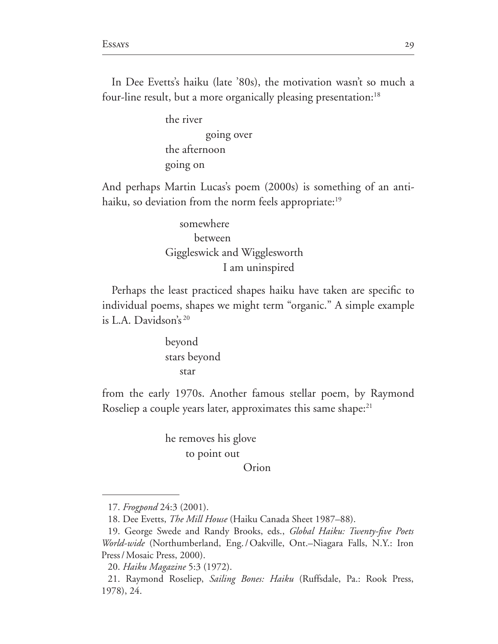In Dee Evetts's haiku (late '80s), the motivation wasn't so much a four-line result, but a more organically pleasing presentation:<sup>18</sup>

> the river going over the afternoon going on

And perhaps Martin Lucas's poem (2000s) is something of an antihaiku, so deviation from the norm feels appropriate:<sup>19</sup>

> somewhere between Giggleswick and Wigglesworth I am uninspired

Perhaps the least practiced shapes haiku have taken are specific to individual poems, shapes we might term "organic." A simple example is L.A. Davidson's

> beyond stars beyond star

from the early 1970s. Another famous stellar poem, by Raymond Roseliep a couple years later, approximates this same shape:<sup>21</sup>

> he removes his glove to point out

Orion

<sup>17.</sup> *Frogpond* 24:3 (2001).

<sup>18.</sup> Dee Evetts, *The Mill House* (Haiku Canada Sheet 1987–88).

<sup>19.</sup> George Swede and Randy Brooks, eds., *Global Haiku: Twenty-five Poets World-wide* (Northumberland, Eng./Oakville, Ont.–Niagara Falls, N.Y.: Iron Press / Mosaic Press, 2000).

*Haiku Magazine*  

<sup>21.</sup> Raymond Roseliep, *Sailing Bones: Haiku* (Ruffsdale, Pa.: Rook Press, 1978), 24.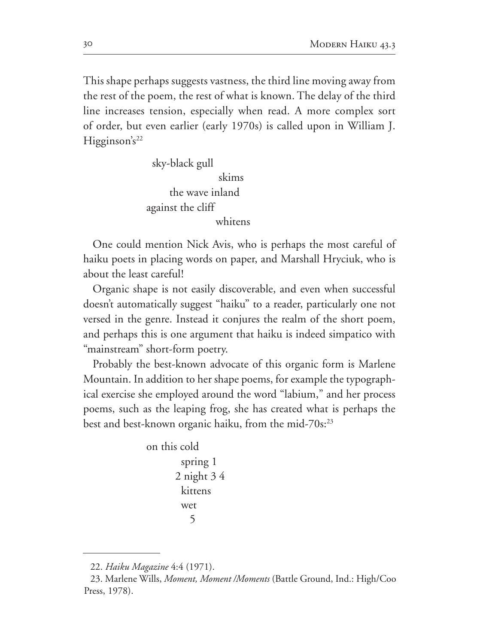This shape perhaps suggests vastness, the third line moving away from the rest of the poem, the rest of what is known. The delay of the third line increases tension, especially when read. A more complex sort of order, but even earlier (early 1970s) is called upon in William J.  $Higgsinson's<sup>22</sup>$ 

> sky-black gull skims the wave inland against the cliff whitens

One could mention Nick Avis, who is perhaps the most careful of haiku poets in placing words on paper, and Marshall Hryciuk, who is about the least careful!

Organic shape is not easily discoverable, and even when successful doesn't automatically suggest "haiku" to a reader, particularly one not versed in the genre. Instead it conjures the realm of the short poem, and perhaps this is one argument that haiku is indeed simpatico with "mainstream" short-form poetry.

Probably the best-known advocate of this organic form is Marlene Mountain. In addition to her shape poems, for example the typographical exercise she employed around the word "labium," and her process poems, such as the leaping frog, she has created what is perhaps the best and best-known organic haiku, from the mid-70s: $^{23}$ 

```
on this cold
        spring 1
      2 night 34 kittens
         wet
          5
```
<sup>22.</sup> *Haiku Magazine* 

<sup>23.</sup> Marlene Wills, Moment, Moment /Moments (Battle Ground, Ind.: High/Coo Press, 1978).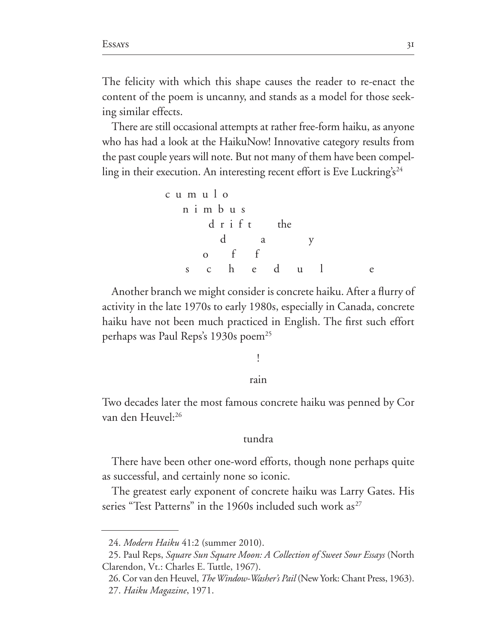The felicity with which this shape causes the reader to re-enact the content of the poem is uncanny, and stands as a model for those seek ing similar effects.

There are still occasional attempts at rather free-form haiku, as anyone who has had a look at the HaikuNow! Innovative category results from the past couple years will note. But not many of them have been compel ling in their execution. An interesting recent effort is Eve Luckring's  $24$ 

c u m u l o n i m b u s d r i f t the d a y o f f s c h e d u l e

Another branch we might consider is concrete haiku. After a flurry of activity in the late 1970s to early 1980s, especially in Canada, concrete haiku have not been much practiced in English. The first such effort perhaps was Paul Reps's 1930s poem<sup>25</sup>

# ! rain

## Two decades later the most famous concrete haiku was penned by Cor van den Heuvel:

#### tundra

There have been other one-word efforts, though none perhaps quite as successful, and certainly none so iconic.

The greatest early exponent of concrete haiku was Larry Gates. His series "Test Patterns" in the 1960s included such work as $27$ 

<sup>24.</sup> Modern Haiku 41:2 (summer 2010).

<sup>25.</sup> Paul Reps, *Square Sun Square Moon: A Collection of Sweet Sour Essays* (North Clarendon, Vt.: Charles E. Tuttle, 1967).

<sup>26.</sup> Cor van den Heuvel, *The Window-Washer's Pail* (New York: Chant Press, 1963). *Haiku Magazine*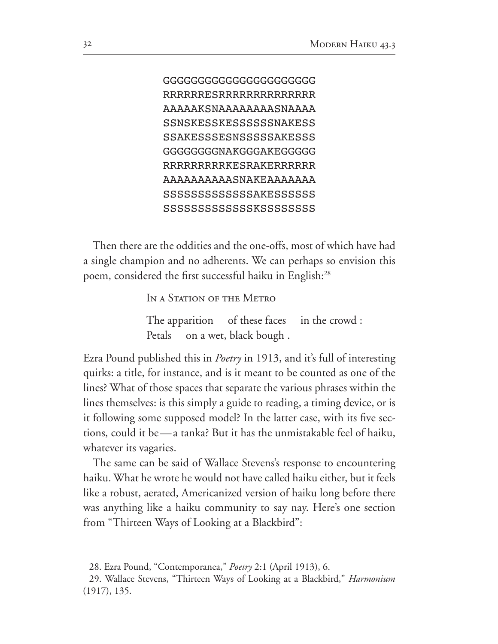```
GGGGGGGGGGGGGGGGGGGGGG
RRRRRRESRRRRRRRRRRRRRR
AAAAAKSNAAAAAAAASNAAAA
SSNSKESSKESSSSSSNAKESS
SSAKESSSESNSSSSSAKESSS
GGGGGGGGNAKGGGAKEGGGGG
RRRRRRRRRKESRAKERRRRRR
AAAAAAAAAASNAKEAAAAAAA
SSSSSSSSSSSSSAKESSSSSS
SSSSSSSSSSSSSKSSSSSSSS
```
Then there are the oddities and the one-offs, most of which have had a single champion and no adherents. We can perhaps so envision this poem, considered the first successful haiku in English:

IN A STATION OF THE METRO

The apparition of these faces in the crowd : Petals on a wet, black bough.

Ezra Pound published this in *Poetry* in 1913, and it's full of interesting quirks: a title, for instance, and is it meant to be counted as one of the lines? What of those spaces that separate the various phrases within the lines themselves: is this simply a guide to reading, a timing device, or is it following some supposed model? In the latter case, with its five sections, could it be—a tanka? But it has the unmistakable feel of haiku, whatever its vagaries.

The same can be said of Wallace Stevens's response to encountering haiku. What he wrote he would not have called haiku either, but it feels like a robust, aerated, Americanized version of haiku long before there was anything like a haiku community to say nay. Here's one section from "Thirteen Ways of Looking at a Blackbird":

<sup>28.</sup> Ezra Pound, "Contemporanea," *Poetry* 2:1 (April 1913), 6.

<sup>29.</sup> Wallace Stevens, "Thirteen Ways of Looking at a Blackbird," *Harmonium*  $(1917), 135.$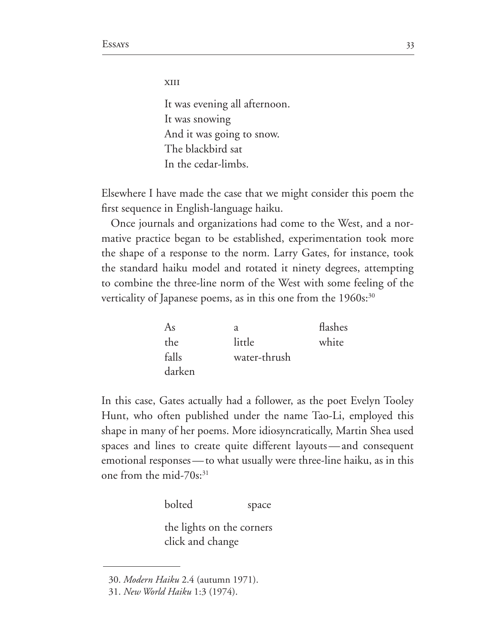xiii

It was evening all afternoon. It was snowing And it was going to snow. The blackbird sat In the cedar-limbs.

Elsewhere I have made the case that we might consider this poem the first sequence in English-language haiku.

Once journals and organizations had come to the West, and a normative practice began to be established, experimentation took more the shape of a response to the norm. Larry Gates, for instance, took the standard haiku model and rotated it ninety degrees, attempting to combine the three-line norm of the West with some feeling of the verticality of Japanese poems, as in this one from the  $1960s$ :<sup>30</sup>

| As     | a            | flashes |
|--------|--------------|---------|
| the    | little       | white   |
| falls  | water-thrush |         |
| darken |              |         |

In this case, Gates actually had a follower, as the poet Evelyn Tooley Hunt, who often published under the name Tao-Li, employed this shape in many of her poems. More idiosyncratically, Martin Shea used spaces and lines to create quite different layouts—and consequent emotional responses — to what usually were three-line haiku, as in this one from the mid- $70s$ :<sup>31</sup>

bolted space

the lights on the corners click and change

<sup>30.</sup> Modern Haiku 2.4 (autumn 1971).

*New World Haiku*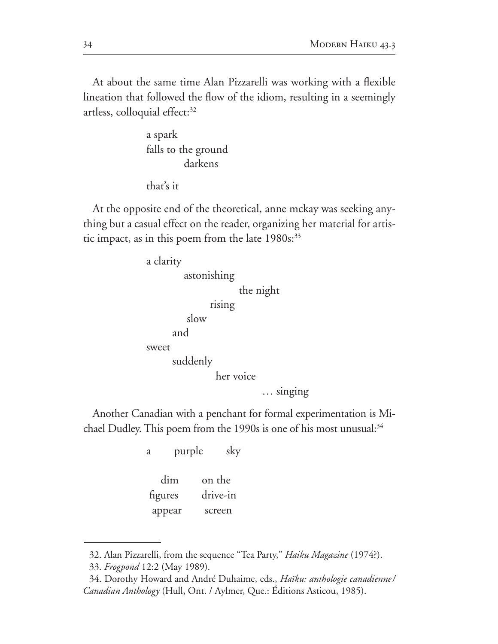At about the same time Alan Pizzarelli was working with a flexible lineation that followed the flow of the idiom, resulting in a seemingly artless, colloquial effect:

> a spark falls to the ground darkens

that's it

At the opposite end of the theoretical, anne mckay was seeking any thing but a casual effect on the reader, organizing her material for artis tic impact, as in this poem from the late  $1980s$ :<sup>33</sup>

> a clarity astonishing the night rising slow and sweet suddenly her voice … singing

Another Canadian with a penchant for formal experimentation is Mi chael Dudley. This poem from the 1990s is one of his most unusual: $34$ 

a purple sky

 dim on the figures drive-in appear screen

<sup>32.</sup> Alan Pizzarelli, from the sequence "Tea Party," *Haiku Magazine* (1974?).

<sup>33.</sup> *Frogpond* 12:2 (May 1989).

<sup>34.</sup> Dorothy Howard and André Duhaime, eds., *Haïku: anthologie canadienne*/ *Canadian Anthology* (Hull, Ont. / Aylmer, Que.: Éditions Asticou, 1985).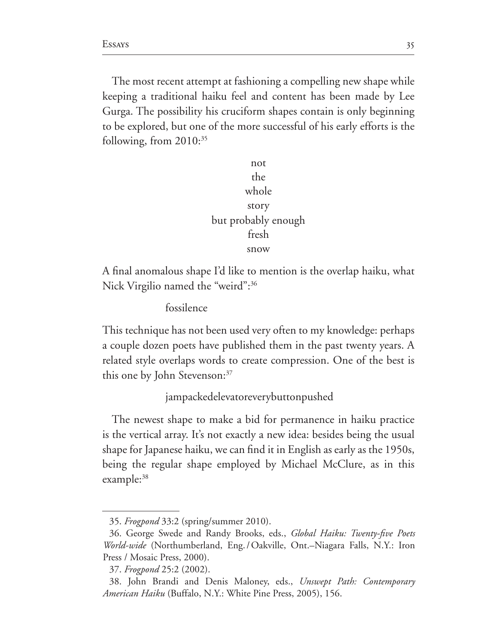The most recent attempt at fashioning a compelling new shape while keeping a traditional haiku feel and content has been made by Lee Gurga. The possibility his cruciform shapes contain is only beginning to be explored, but one of the more successful of his early efforts is the following, from  $2010$ <sup>35</sup>

> not the whole story but probably enough fresh snow

A final anomalous shape I'd like to mention is the overlap haiku, what Nick Virgilio named the "weird":<sup>36</sup>

fossilence

This technique has not been used very often to my knowledge: perhaps a couple dozen poets have published them in the past twenty years. A related style overlaps words to create compression. One of the best is this one by John Stevenson:<sup>37</sup>

jampackedelevatoreverybuttonpushed

The newest shape to make a bid for permanence in haiku practice is the vertical array. It's not exactly a new idea: besides being the usual shape for Japanese haiku, we can find it in English as early as the 1950s, being the regular shape employed by Michael McClure, as in this example:<sup>38</sup>

<sup>35.</sup> *Frogpond* 33:2 (spring/summer 2010).

<sup>36.</sup> George Swede and Randy Brooks, eds., *Global Haiku: Twenty-five Poets World-wide* (Northumberland, Eng./Oakville, Ont.–Niagara Falls, N.Y.: Iron Press / Mosaic Press, 2000).

<sup>37.</sup> Frogpond 25:2 (2002).

<sup>38.</sup> John Brandi and Denis Maloney, eds., Unswept Path: Contemporary *American Haiku* (Buffalo, N.Y.: White Pine Press, 2005), 156.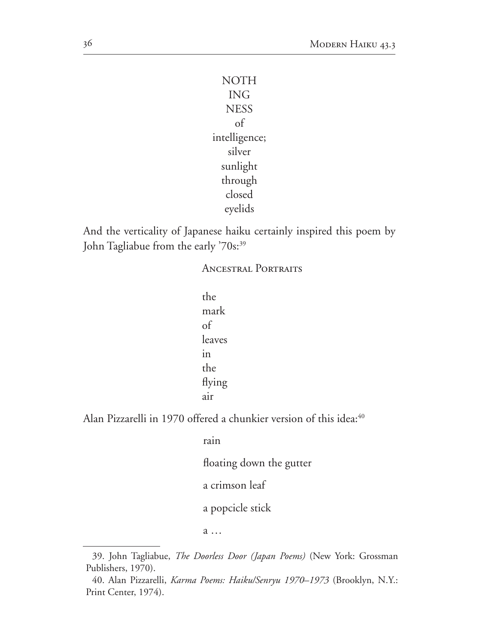```
NOTH
   ING
  NESS
    of
intelligence;
   silver
 sunlight
 through
  closed
  eyelids
```
And the verticality of Japanese haiku certainly inspired this poem by John Tagliabue from the early '70s:<sup>39</sup>

Ancestral Portraits

| the    |  |  |
|--------|--|--|
| mark   |  |  |
| of     |  |  |
| leaves |  |  |
| in     |  |  |
| the    |  |  |
| flying |  |  |
| air    |  |  |

Alan Pizzarelli in 1970 offered a chunkier version of this idea:<sup>40</sup>

rain floating down the gutter a crimson leaf a popcicle stick

a …

<sup>39.</sup> John Tagliabue, *The Doorless Door (Japan Poems)* (New York: Grossman Publishers, 1970).

<sup>40.</sup> Alan Pizzarelli, *Karma Poems: Haiku/Senryu 1970–1973* (Brooklyn, N.Y.: Print Center, 1974).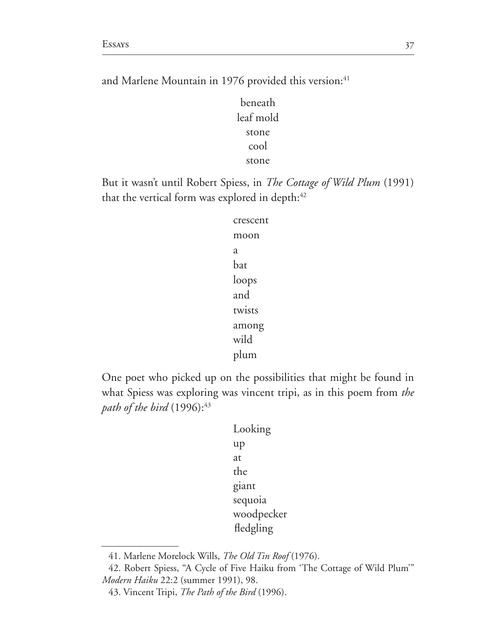and Marlene Mountain in 1976 provided this version:<sup>41</sup>

beneath leaf mold stone cool stone

But it wasn't until Robert Spiess, in *The Cottage of Wild Plum* (1991) that the vertical form was explored in depth:

> crescent moon a bat loops and twists among wild plum

One poet who picked up on the possibilities that might be found in what Spiess was exploring was vincent tripi, as in this poem from *the path of the bird* 

> Looking up at the giant sequoia woodpecker fledgling

<sup>41.</sup> Marlene Morelock Wills, *The Old Tin Roof* (1976).

<sup>42.</sup> Robert Spiess, "A Cycle of Five Haiku from 'The Cottage of Wild Plum'" *Modern Haiku* 22:2 (summer 1991), 98.

<sup>43.</sup> Vincent Tripi, The Path of the Bird (1996).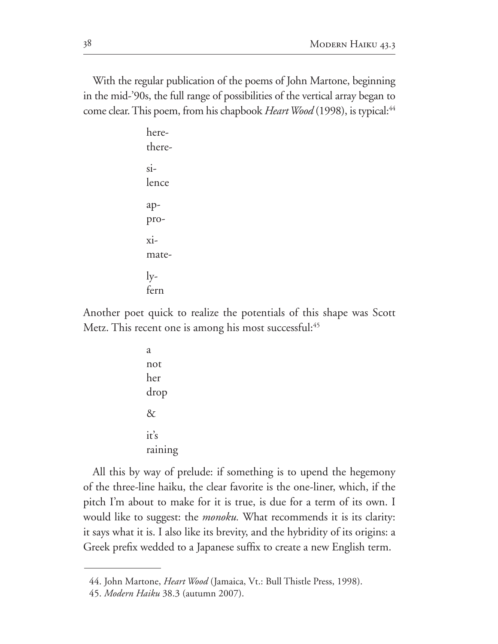With the regular publication of the poems of John Martone, beginning in the mid-'90s, the full range of possibilities of the vertical array began to come clear. This poem, from his chapbook *Heart Wood* (1998), is typical:<sup>44</sup>

> herethere- $\sin$ lence appro- $\overline{xi}$ mate- $\rm l$ yfern

Another poet quick to realize the potentials of this shape was Scott Metz. This recent one is among his most successful:<sup>45</sup>

> a not her drop  $\&$ it's raining

All this by way of prelude: if something is to upend the hegemony of the three-line haiku, the clear favorite is the one-liner, which, if the pitch I'm about to make for it is true, is due for a term of its own. I would like to suggest: the *monoku.* What recommends it is its clarity: it says what it is. I also like its brevity, and the hybridity of its origins: a Greek prefix wedded to a Japanese suffix to create a new English term.

<sup>44.</sup> John Martone, *Heart Wood* (Jamaica, Vt.: Bull Thistle Press, 1998).

<sup>45.</sup> Modern Haiku 38.3 (autumn 2007).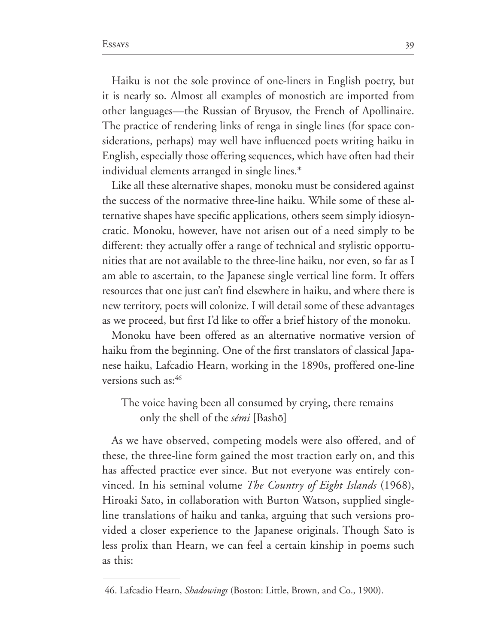Haiku is not the sole province of one-liners in English poetry, but it is nearly so. Almost all examples of monostich are imported from other languages—the Russian of Bryusov, the French of Apollinaire. The practice of rendering links of renga in single lines (for space con siderations, perhaps) may well have influenced poets writing haiku in English, especially those offering sequences, which have often had their individual elements arranged in single lines.\*

Like all these alternative shapes, monoku must be considered against the success of the normative three-line haiku. While some of these alternative shapes have specific applications, others seem simply idiosyn cratic. Monoku, however, have not arisen out of a need simply to be different: they actually offer a range of technical and stylistic opportu nities that are not available to the three-line haiku, nor even, so far as I am able to ascertain, to the Japanese single vertical line form. It offers resources that one just can't find elsewhere in haiku, and where there is new territory, poets will colonize. I will detail some of these advantages as we proceed, but first I'd like to offer a brief history of the monoku.

Monoku have been offered as an alternative normative version of haiku from the beginning. One of the first translators of classical Japanese haiku, Lafcadio Hearn, working in the 1890s, proffered one-line versions such as:

The voice having been all consumed by crying, there remains only the shell of the *sémi* [Bashô]

As we have observed, competing models were also offered, and of these, the three-line form gained the most traction early on, and this has affected practice ever since. But not everyone was entirely con vinced. In his seminal volume *The Country of Eight Islands* (1968), Hiroaki Sato, in collaboration with Burton Watson, supplied singleline translations of haiku and tanka, arguing that such versions pro vided a closer experience to the Japanese originals. Though Sato is less prolix than Hearn, we can feel a certain kinship in poems such as this:

<sup>46.</sup> Lafcadio Hearn, *Shadowings* (Boston: Little, Brown, and Co., 1900).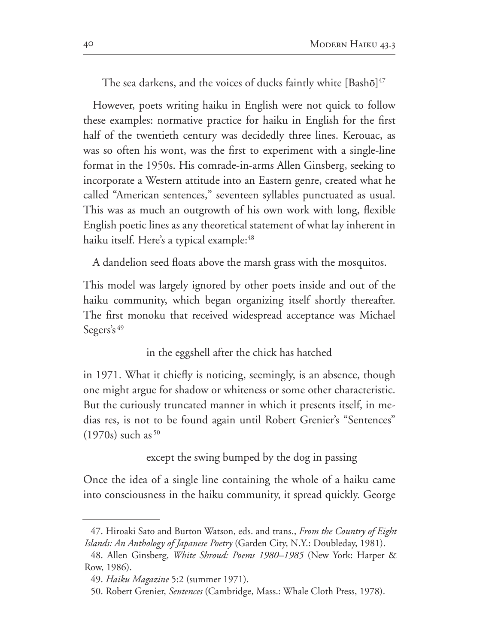The sea darkens, and the voices of ducks faintly white  $[{\rm Bash}\bar{\rm o}]^{47}$ 

However, poets writing haiku in English were not quick to follow these examples: normative practice for haiku in English for the first half of the twentieth century was decidedly three lines. Kerouac, as was so often his wont, was the first to experiment with a single-line format in the 1950s. His comrade-in-arms Allen Ginsberg, seeking to incorporate a Western attitude into an Eastern genre, created what he called "American sentences," seventeen syllables punctuated as usual. This was as much an outgrowth of his own work with long, flexible English poetic lines as any theoretical statement of what lay inherent in haiku itself. Here's a typical example:

A dandelion seed floats above the marsh grass with the mosquitos.

This model was largely ignored by other poets inside and out of the haiku community, which began organizing itself shortly thereafter. The first monoku that received widespread acceptance was Michael Segers's  $49$ 

in the eggshell after the chick has hatched

in 1971. What it chiefly is noticing, seemingly, is an absence, though one might argue for shadow or whiteness or some other characteristic. But the curiously truncated manner in which it presents itself, in me dias res, is not to be found again until Robert Grenier's "Sentences"  $(1970s)$  such as <sup>50</sup>

except the swing bumped by the dog in passing

Once the idea of a single line containing the whole of a haiku came into consciousness in the haiku community, it spread quickly. George

<sup>47.</sup> Hiroaki Sato and Burton Watson, eds. and trans., From the Country of Eight *Islands: An Anthology of Japanese Poetry* (Garden City, N.Y.: Doubleday, 1981).

<sup>48.</sup> Allen Ginsberg, *White Shroud: Poems 1980–1985* (New York: Harper & Row, 1986).

<sup>49.</sup> *Haiku Magazine* 5:2 (summer 1971).

<sup>50.</sup> Robert Grenier, Sentences (Cambridge, Mass.: Whale Cloth Press, 1978).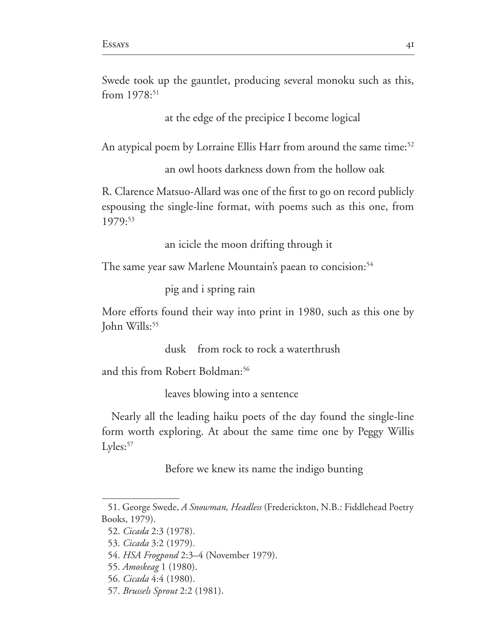Swede took up the gauntlet, producing several monoku such as this, from  $1978:51$ 

at the edge of the precipice I become logical

An atypical poem by Lorraine Ellis Harr from around the same time:<sup>52</sup>

an owl hoots darkness down from the hollow oak

R. Clarence Matsuo-Allard was one of the first to go on record publicly espousing the single-line format, with poems such as this one, from 1979:53

an icicle the moon drifting through it

The same year saw Marlene Mountain's paean to concision:

pig and i spring rain

More efforts found their way into print in 1980, such as this one by John Wills:

dusk from rock to rock a waterthrush

and this from Robert Boldman:

leaves blowing into a sentence

Nearly all the leading haiku poets of the day found the single-line form worth exploring. At about the same time one by Peggy Willis  $Ly$ les: $57$ 

Before we knew its name the indigo bunting

<sup>51.</sup> George Swede, *A Snowman, Headless* (Frederickton, N.B.: Fiddlehead Poetry Books, 1979).

<sup>52.</sup> *Cicada* 2:3 (1978).

<sup>53.</sup> *Cicada* 3:2 (1979).

<sup>54.</sup> *HSA Frogpond* 2:3–4 (November 1979).

*Amoskeag* 

<sup>56.</sup> *Cicada* 4:4 (1980).

*Brussels Sprout*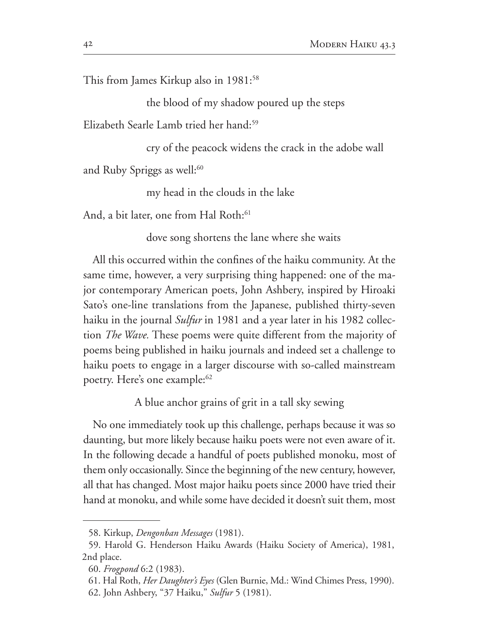This from James Kirkup also in  $1981$ <sup>58</sup>

the blood of my shadow poured up the steps

Elizabeth Searle Lamb tried her hand:<sup>59</sup>

cry of the peacock widens the crack in the adobe wall

and Ruby Spriggs as well: $60$ 

my head in the clouds in the lake

And, a bit later, one from Hal Roth:

dove song shortens the lane where she waits

All this occurred within the confines of the haiku community. At the same time, however, a very surprising thing happened: one of the ma jor contemporary American poets, John Ashbery, inspired by Hiroaki Sato's one-line translations from the Japanese, published thirty-seven haiku in the journal *Sulfur* in 1981 and a year later in his 1982 collection *The Wave.* These poems were quite different from the majority of poems being published in haiku journals and indeed set a challenge to haiku poets to engage in a larger discourse with so-called mainstream poetry. Here's one example:

A blue anchor grains of grit in a tall sky sewing

No one immediately took up this challenge, perhaps because it was so daunting, but more likely because haiku poets were not even aware of it. In the following decade a handful of poets published monoku, most of them only occasionally. Since the beginning of the new century, however, all that has changed. Most major haiku poets since 2000 have tried their hand at monoku, and while some have decided it doesn't suit them, most

<sup>58.</sup> Kirkup, *Dengonban Messages* (1981).

<sup>59.</sup> Harold G. Henderson Haiku Awards (Haiku Society of America), 1981, 2nd place.

*Frogpond* 

<sup>61.</sup> Hal Roth, *Her Daughter's Eyes* (Glen Burnie, Md.: Wind Chimes Press, 1990). 62. John Ashbery, "37 Haiku," *Sulfur* 5 (1981).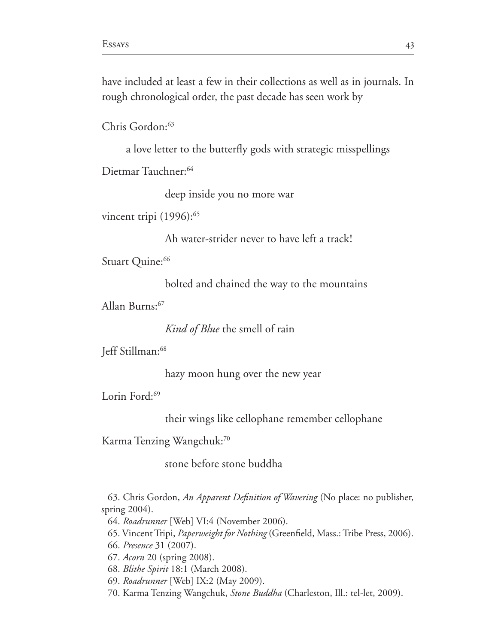have included at least a few in their collections as well as in journals. In rough chronological order, the past decade has seen work by

Chris Gordon:

a love letter to the butterfly gods with strategic misspellings

Dietmar Tauchner:

deep inside you no more war

vincent tripi (1996):<sup>65</sup>

Ah water-strider never to have left a track!

Stuart Quine:<sup>66</sup>

bolted and chained the way to the mountains

Allan Burns:

*Kind of Blue* the smell of rain

Jeff Stillman:<sup>68</sup>

hazy moon hung over the new year

Lorin Ford:<sup>69</sup>

their wings like cellophane remember cellophane

Karma Tenzing Wangchuk:70

stone before stone buddha

<sup>63.</sup> Chris Gordon, An Apparent Definition of Wavering (No place: no publisher, spring  $2004$ ).

<sup>64.</sup> Roadrunner [Web] VI:4 (November 2006).

<sup>65.</sup> Vincent Tripi, *Paperweight for Nothing* (Greenfield, Mass.: Tribe Press, 2006).

<sup>66.</sup> *Presence* 31 (2007).

<sup>67.</sup> *Acorn* 20 (spring 2008).

<sup>68.</sup> *Blithe Spirit* 18:1 (March 2008).

<sup>69.</sup> Roadrunner [Web] IX:2 (May 2009).

<sup>70.</sup> Karma Tenzing Wangchuk, *Stone Buddha* (Charleston, Ill.: tel-let, 2009).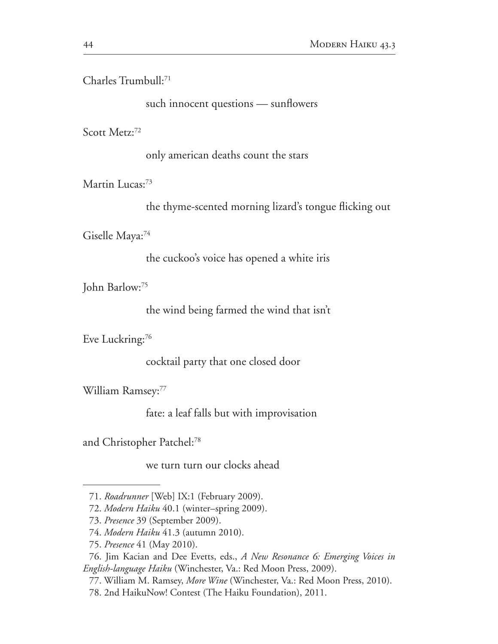Charles Trumbull:

such innocent questions — sunflowers

Scott Metz:<sup>72</sup>

only american deaths count the stars

Martin Lucas:<sup>73</sup>

the thyme-scented morning lizard's tongue flicking out

Giselle Maya:

the cuckoo's voice has opened a white iris

John Barlow:

the wind being farmed the wind that isn't

Eve Luckring:<sup>76</sup>

cocktail party that one closed door

William Ramsey:

fate: a leaf falls but with improvisation

and Christopher Patchel:

we turn turn our clocks ahead

<sup>71.</sup> Roadrunner [Web] IX:1 (February 2009).

<sup>72.</sup> Modern Haiku 40.1 (winter-spring 2009).

<sup>73.</sup> Presence 39 (September 2009).

<sup>74.</sup> Modern Haiku 41.3 (autumn 2010).

<sup>75.</sup> Presence 41 (May 2010).

<sup>76.</sup> Jim Kacian and Dee Evetts, eds., A New Resonance 6: Emerging Voices in English-language Haiku (Winchester, Va.: Red Moon Press, 2009).

<sup>77.</sup> William M. Ramsey, *More Wine* (Winchester, Va.: Red Moon Press, 2010).

<sup>78. 2</sup>nd HaikuNow! Contest (The Haiku Foundation), 2011.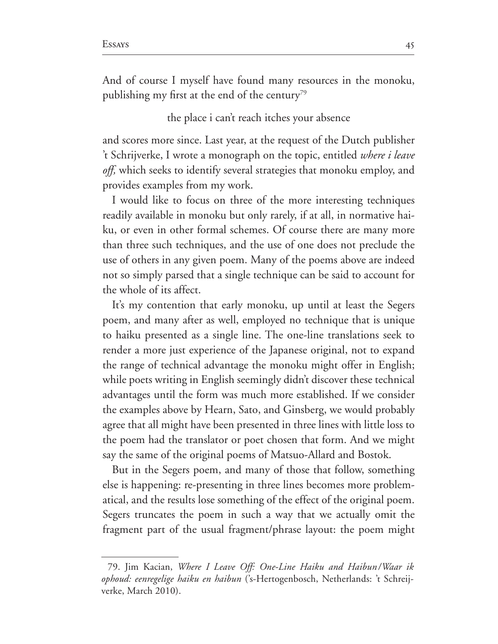And of course I myself have found many resources in the monoku, publishing my first at the end of the century<sup>79</sup>

#### the place i can't reach itches your absence

and scores more since. Last year, at the request of the Dutch publisher t Schrijverke, I wrote a monograph on the topic, entitled *where i leave off,* which seeks to identify several strategies that monoku employ, and provides examples from my work.

I would like to focus on three of the more interesting techniques readily available in monoku but only rarely, if at all, in normative hai ku, or even in other formal schemes. Of course there are many more than three such techniques, and the use of one does not preclude the use of others in any given poem. Many of the poems above are indeed not so simply parsed that a single technique can be said to account for the whole of its affect.

It's my contention that early monoku, up until at least the Segers poem, and many after as well, employed no technique that is unique to haiku presented as a single line. The one-line translations seek to render a more just experience of the Japanese original, not to expand the range of technical advantage the monoku might offer in English; while poets writing in English seemingly didn't discover these technical advantages until the form was much more established. If we consider the examples above by Hearn, Sato, and Ginsberg, we would probably agree that all might have been presented in three lines with little loss to the poem had the translator or poet chosen that form. And we might say the same of the original poems of Matsuo-Allard and Bostok.

But in the Segers poem, and many of those that follow, something else is happening: re-presenting in three lines becomes more problematical, and the results lose something of the effect of the original poem. Segers truncates the poem in such a way that we actually omit the fragment part of the usual fragment/phrase layout: the poem might

<sup>79.</sup> Jim Kacian, *Where I Leave Off: One-Line Haiku and Haibun* / *Waar ik* ophoud: eenregelige haiku en haibun ('s-Hertogenbosch, Netherlands: 't Schreijverke, March 2010).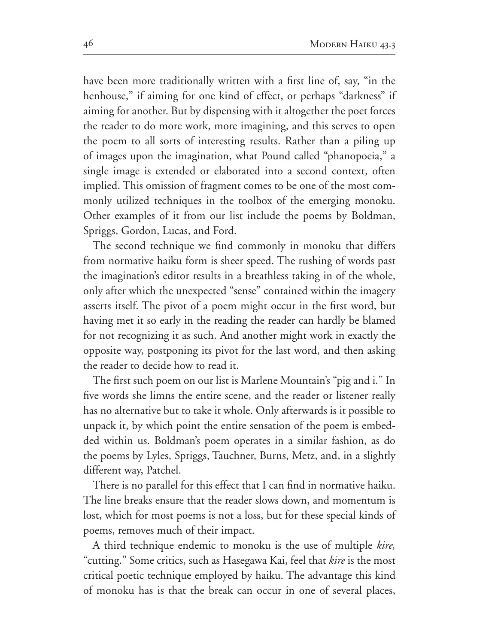have been more traditionally written with a first line of, say, "in the henhouse," if aiming for one kind of effect, or perhaps "darkness" if aiming for another. But by dispensing with it altogether the poet forces the reader to do more work, more imagining, and this serves to open the poem to all sorts of interesting results. Rather than a piling up of images upon the imagination, what Pound called "phanopoeia," a single image is extended or elaborated into a second context, often implied. This omission of fragment comes to be one of the most com monly utilized techniques in the toolbox of the emerging monoku. Other examples of it from our list include the poems by Boldman, Spriggs, Gordon, Lucas, and Ford.

The second technique we find commonly in monoku that differs from normative haiku form is sheer speed. The rushing of words past the imagination's editor results in a breathless taking in of the whole, only after which the unexpected "sense" contained within the imagery asserts itself. The pivot of a poem might occur in the first word, but having met it so early in the reading the reader can hardly be blamed for not recognizing it as such. And another might work in exactly the opposite way, postponing its pivot for the last word, and then asking the reader to decide how to read it.

The first such poem on our list is Marlene Mountain's "pig and i." In five words she limns the entire scene, and the reader or listener really has no alternative but to take it whole. Only afterwards is it possible to unpack it, by which point the entire sensation of the poem is embed ded within us. Boldman's poem operates in a similar fashion, as do the poems by Lyles, Spriggs, Tauchner, Burns, Metz, and, in a slightly different way, Patchel.

There is no parallel for this effect that I can find in normative haiku. The line breaks ensure that the reader slows down, and momentum is lost, which for most poems is not a loss, but for these special kinds of poems, removes much of their impact.

A third technique endemic to monoku is the use of multiple *kire,*  "cutting." Some critics, such as Hasegawa Kai, feel that *kire* is the most critical poetic technique employed by haiku. The advantage this kind of monoku has is that the break can occur in one of several places,